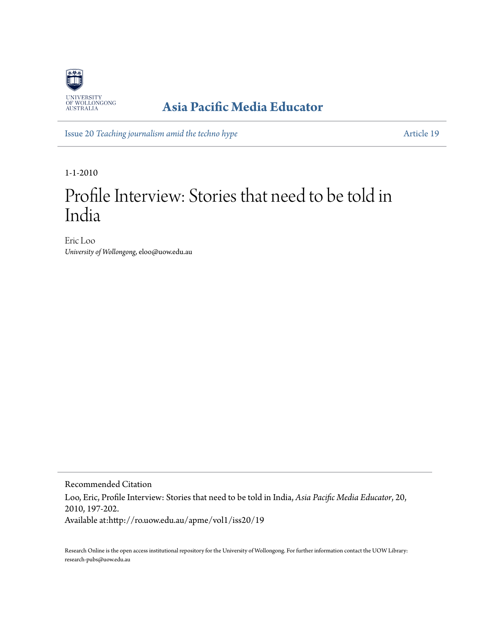

## **[Asia Pacific Media Educator](http://ro.uow.edu.au/apme)**

Issue 20 *[Teaching journalism amid the techno hype](http://ro.uow.edu.au/apme/vol1/iss20)* [Article 19](http://ro.uow.edu.au/apme/vol1/iss20/19)

1-1-2010

# Profile Interview: Stories that need to be told in India

Eric Loo *University of Wollongong*, eloo@uow.edu.au

Recommended Citation Loo, Eric, Profile Interview: Stories that need to be told in India, *Asia Pacific Media Educator*, 20, 2010, 197-202. Available at:http://ro.uow.edu.au/apme/vol1/iss20/19

Research Online is the open access institutional repository for the University of Wollongong. For further information contact the UOW Library: research-pubs@uow.edu.au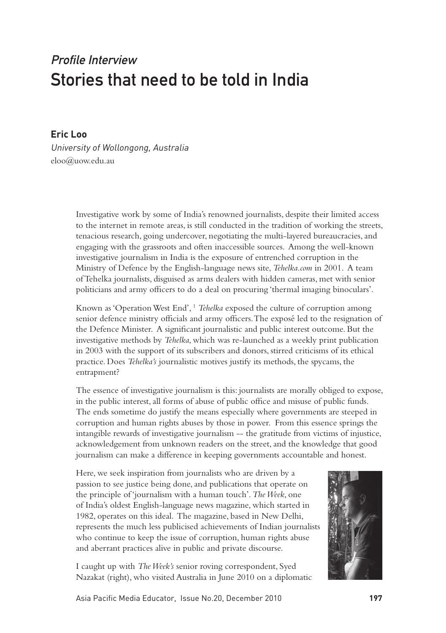## Profile Interview Stories that need to be told in India

#### **Eric Loo**

University of Wollongong, Australia eloo@uow.edu.au

> Investigative work by some of India's renowned journalists, despite their limited access to the internet in remote areas, is still conducted in the tradition of working the streets, tenacious research, going undercover, negotiating the multi-layered bureaucracies, and engaging with the grassroots and often inaccessible sources. Among the well-known investigative journalism in India is the exposure of entrenched corruption in the Ministry of Defence by the English-language news site, *Tehelka.com* in 2001. A team of Tehelka journalists, disguised as arms dealers with hidden cameras, met with senior politicians and army officers to do a deal on procuring 'thermal imaging binoculars'.

> Known as 'Operation West End',<sup>1</sup> *Tehelka* exposed the culture of corruption among senior defence ministry officials and army officers. The exposé led to the resignation of the Defence Minister. A significant journalistic and public interest outcome. But the investigative methods by *Tehelka*, which was re-launched as a weekly print publication in 2003 with the support of its subscribers and donors, stirred criticisms of its ethical practice. Does *Tehelka's* journalistic motives justify its methods, the spycams, the entrapment?

> The essence of investigative journalism is this: journalists are morally obliged to expose, in the public interest, all forms of abuse of public office and misuse of public funds. The ends sometime do justify the means especially where governments are steeped in corruption and human rights abuses by those in power. From this essence springs the intangible rewards of investigative journalism -- the gratitude from victims of injustice, acknowledgement from unknown readers on the street, and the knowledge that good journalism can make a difference in keeping governments accountable and honest.

Here, we seek inspiration from journalists who are driven by a passion to see justice being done, and publications that operate on the principle of 'journalism with a human touch'. *The Week*, one of India's oldest English-language news magazine, which started in 1982, operates on this ideal. The magazine, based in New Delhi, represents the much less publicised achievements of Indian journalists who continue to keep the issue of corruption, human rights abuse and aberrant practices alive in public and private discourse.

I caught up with *The Week's* senior roving correspondent, Syed Nazakat (right), who visited Australia in June 2010 on a diplomatic

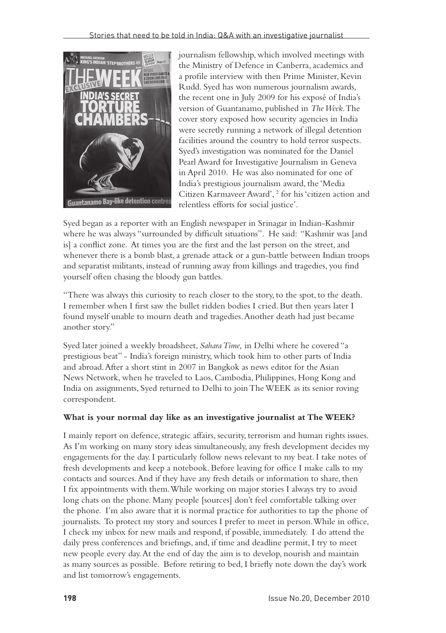

journalism fellowship, which involved meetings with the Ministry of Defence in Canberra, academics and a profile interview with then Prime Minister, Kevin Rudd. Syed has won numerous journalism awards, the recent one in July 2009 for his exposé of India's version of Guantanamo, published in *The Week*. The cover story exposed how security agencies in India were secretly running a network of illegal detention facilities around the country to hold terror suspects. Syed's investigation was nominated for the Daniel Pearl Award for Investigative Journalism in Geneva in April 2010. He was also nominated for one of India's prestigious journalism award, the 'Media Citizen Karmaveer Award', 2 for his 'citizen action and relentless efforts for social justice'.

Syed began as a reporter with an English newspaper in Srinagar in Indian-Kashmir where he was always "surrounded by difficult situations". He said: "Kashmir was [and is] a conflict zone. At times you are the first and the last person on the street, and whenever there is a bomb blast, a grenade attack or a gun-battle between Indian troops and separatist militants, instead of running away from killings and tragedies, you find yourself often chasing the bloody gun battles.

"There was always this curiosity to reach closer to the story, to the spot, to the death. I remember when I first saw the bullet ridden bodies I cried. But then years later I found myself unable to mourn death and tragedies. Another death had just became another story."

Syed later joined a weekly broadsheet, *Sahara Time,* in Delhi where he covered "a prestigious beat" - India's foreign ministry, which took him to other parts of India and abroad. After a short stint in 2007 in Bangkok as news editor for the Asian News Network, when he traveled to Laos, Cambodia, Philippines, Hong Kong and India on assignments, Syed returned to Delhi to join The WEEK as its senior roving correspondent.

#### **What is your normal day like as an investigative journalist at The WEEK?**

I mainly report on defence, strategic affairs, security, terrorism and human rights issues. As I'm working on many story ideas simultaneously, any fresh development decides my engagements for the day. I particularly follow news relevant to my beat. I take notes of fresh developments and keep a notebook. Before leaving for office I make calls to my contacts and sources. And if they have any fresh details or information to share, then I fix appointments with them. While working on major stories I always try to avoid long chats on the phone. Many people [sources] don't feel comfortable talking over the phone. I'm also aware that it is normal practice for authorities to tap the phone of journalists. To protect my story and sources I prefer to meet in person. While in office, I check my inbox for new mails and respond, if possible, immediately. I do attend the daily press conferences and briefings, and, if time and deadline permit, I try to meet new people every day. At the end of day the aim is to develop, nourish and maintain as many sources as possible. Before retiring to bed, I briefly note down the day's work and list tomorrow's engagements.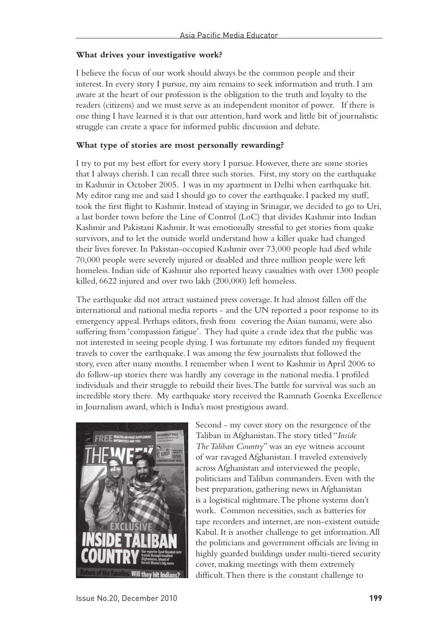#### **What drives your investigative work?**

I believe the focus of our work should always be the common people and their interest. In every story I pursue, my aim remains to seek information and truth. I am aware at the heart of our profession is the obligation to the truth and loyalty to the readers (citizens) and we must serve as an independent monitor of power. If there is one thing I have learned it is that our attention, hard work and little bit of journalistic struggle can create a space for informed public discussion and debate.

#### **What type of stories are most personally rewarding?**

I try to put my best effort for every story I pursue. However, there are some stories that I always cherish. I can recall three such stories. First, my story on the earthquake in Kashmir in October 2005. I was in my apartment in Delhi when earthquake hit. My editor rang me and said I should go to cover the earthquake. I packed my stuff, took the first flight to Kashmir. Instead of staying in Srinagar, we decided to go to Uri, a last border town before the Line of Control (LoC) that divides Kashmir into Indian Kashmir and Pakistani Kashmir. It was emotionally stressful to get stories from quake survivors, and to let the outside world understand how a killer quake had changed their lives forever. In Pakistan-occupied Kashmir over 73,000 people had died while 70,000 people were severely injured or disabled and three million people were left homeless. Indian side of Kashmir also reported heavy casualties with over 1300 people killed, 6622 injured and over two lakh (200,000) left homeless.

The earthquake did not attract sustained press coverage. It had almost fallen off the international and national media reports - and the UN reported a poor response to its emergency appeal. Perhaps editors, fresh from covering the Asian tsunami, were also suffering from 'compassion fatigue'. They had quite a crude idea that the public was not interested in seeing people dying. I was fortunate my editors funded my frequent travels to cover the earthquake. I was among the few journalists that followed the story, even after many months. I remember when I went to Kashmir in April 2006 to do follow-up stories there was hardly any coverage in the national media. I profiled individuals and their struggle to rebuild their lives. The battle for survival was such an incredible story there. My earthquake story received the Ramnath Goenka Excellence in Journalism award, which is India's most prestigious award.



Second - my cover story on the resurgence of the Taliban in Afghanistan. The story titled "*Inside The Taliban Country*" was an eye witness account of war ravaged Afghanistan. I traveled extensively across Afghanistan and interviewed the people, politicians and Taliban commanders. Even with the best preparation, gathering news in Afghanistan is a logistical nightmare. The phone systems don't work. Common necessities, such as batteries for tape recorders and internet, are non-existent outside Kabul. It is another challenge to get information. All the politicians and government officials are living in highly guarded buildings under multi-tiered security cover, making meetings with them extremely difficult. Then there is the constant challenge to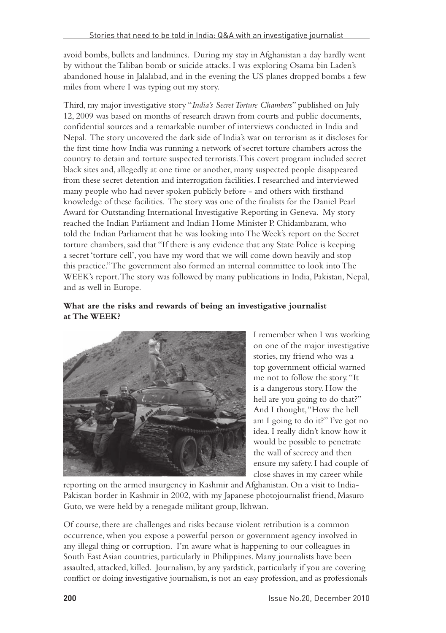avoid bombs, bullets and landmines. During my stay in Afghanistan a day hardly went by without the Taliban bomb or suicide attacks. I was exploring Osama bin Laden's abandoned house in Jalalabad, and in the evening the US planes dropped bombs a few miles from where I was typing out my story.

Third, my major investigative story "*India's Secret Torture Chambers*" published on July 12, 2009 was based on months of research drawn from courts and public documents, confidential sources and a remarkable number of interviews conducted in India and Nepal. The story uncovered the dark side of India's war on terrorism as it discloses for the first time how India was running a network of secret torture chambers across the country to detain and torture suspected terrorists. This covert program included secret black sites and, allegedly at one time or another, many suspected people disappeared from these secret detention and interrogation facilities. I researched and interviewed many people who had never spoken publicly before - and others with firsthand knowledge of these facilities. The story was one of the finalists for the Daniel Pearl Award for Outstanding International Investigative Reporting in Geneva. My story reached the Indian Parliament and Indian Home Minister P. Chidambaram, who told the Indian Parliament that he was looking into The Week's report on the Secret torture chambers, said that "If there is any evidence that any State Police is keeping a secret 'torture cell', you have my word that we will come down heavily and stop this practice." The government also formed an internal committee to look into The WEEK's report. The story was followed by many publications in India, Pakistan, Nepal, and as well in Europe.

#### **What are the risks and rewards of being an investigative journalist at The WEEK?**



I remember when I was working on one of the major investigative stories, my friend who was a top government official warned me not to follow the story. "It is a dangerous story. How the hell are you going to do that?" And I thought, "How the hell am I going to do it?" I've got no idea. I really didn't know how it would be possible to penetrate the wall of secrecy and then ensure my safety. I had couple of close shaves in my career while

reporting on the armed insurgency in Kashmir and Afghanistan. On a visit to India-Pakistan border in Kashmir in 2002, with my Japanese photojournalist friend, Masuro Guto, we were held by a renegade militant group, Ikhwan.

Of course, there are challenges and risks because violent retribution is a common occurrence, when you expose a powerful person or government agency involved in any illegal thing or corruption. I'm aware what is happening to our colleagues in South East Asian countries, particularly in Philippines. Many journalists have been assaulted, attacked, killed. Journalism, by any yardstick, particularly if you are covering conflict or doing investigative journalism, is not an easy profession, and as professionals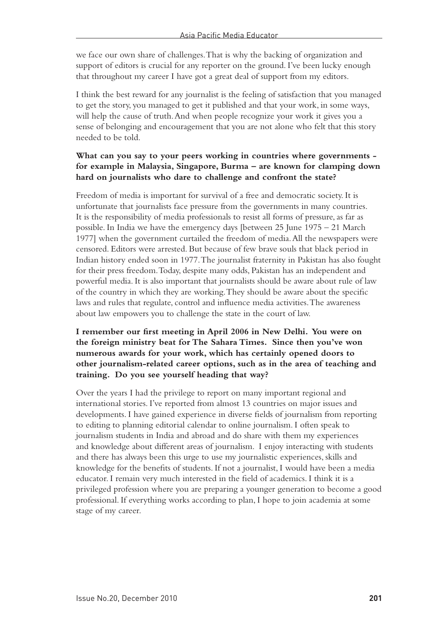we face our own share of challenges. That is why the backing of organization and support of editors is crucial for any reporter on the ground. I've been lucky enough that throughout my career I have got a great deal of support from my editors.

I think the best reward for any journalist is the feeling of satisfaction that you managed to get the story, you managed to get it published and that your work, in some ways, will help the cause of truth. And when people recognize your work it gives you a sense of belonging and encouragement that you are not alone who felt that this story needed to be told.

#### **What can you say to your peers working in countries where governments for example in Malaysia, Singapore, Burma – are known for clamping down hard on journalists who dare to challenge and confront the state?**

Freedom of media is important for survival of a free and democratic society. It is unfortunate that journalists face pressure from the governments in many countries. It is the responsibility of media professionals to resist all forms of pressure, as far as possible. In India we have the emergency days [between 25 June 1975 – 21 March 1977] when the government curtailed the freedom of media. All the newspapers were censored. Editors were arrested. But because of few brave souls that black period in Indian history ended soon in 1977. The journalist fraternity in Pakistan has also fought for their press freedom. Today, despite many odds, Pakistan has an independent and powerful media. It is also important that journalists should be aware about rule of law of the country in which they are working. They should be aware about the specific laws and rules that regulate, control and influence media activities. The awareness about law empowers you to challenge the state in the court of law.

#### **I remember our first meeting in April 2006 in New Delhi. You were on the foreign ministry beat for The Sahara Times. Since then you've won numerous awards for your work, which has certainly opened doors to other journalism-related career options, such as in the area of teaching and training. Do you see yourself heading that way?**

Over the years I had the privilege to report on many important regional and international stories. I've reported from almost 13 countries on major issues and developments. I have gained experience in diverse fields of journalism from reporting to editing to planning editorial calendar to online journalism. I often speak to journalism students in India and abroad and do share with them my experiences and knowledge about different areas of journalism. I enjoy interacting with students and there has always been this urge to use my journalistic experiences, skills and knowledge for the benefits of students. If not a journalist, I would have been a media educator. I remain very much interested in the field of academics. I think it is a privileged profession where you are preparing a younger generation to become a good professional. If everything works according to plan, I hope to join academia at some stage of my career.